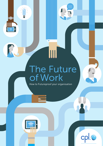## The Future of Work

1

How to Futureproof your organisation



 $\bullet$ 

**TITULITI** 

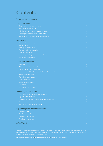### **Contents**

| <b>Introduction and Summary</b>                          |                  |
|----------------------------------------------------------|------------------|
| <b>The Future Brand</b>                                  | $\overline{2}$   |
| Do you know your own company?                            | 3                |
| Building your future brand                               | 3                |
| Aligning company culture with your brand                 | 4                |
| Tracking customer attitudes in real time                 | $\overline{5}$   |
| Importance of corporate social responsibility            | 6                |
| <b>Future Talent</b>                                     | $\overline{7}$   |
| Securing the workforce of tomorrow                       | $\boldsymbol{8}$ |
| <b>Attracting talent</b>                                 | 9                |
| Holding on to the talent                                 | 9                |
| <b>Transformation of education</b>                       | 10               |
| Tapping the diaspora                                     | 11               |
| Managing a multigenerational workforce                   | 11               |
| Managing remote talent                                   | 11               |
| <b>The Future Workplace</b>                              | 12               |
| Co-working                                               | 13               |
| What is driving this change?                             | 13               |
| End of big company bureaucracy                           | 13               |
| Health and work/life balance vital for the future worker | 14               |
| <b>Encouraging innovation</b>                            | 15               |
| Workplace ergonomics                                     | 16               |
| Social distancing                                        | 16               |
| A collaborative future                                   | 16               |
| Co-opetition                                             | 16               |
| Working across cultures                                  | 17               |
| <b>Technology in the Future</b>                          | 18               |
| Technology is changing the way we work                   | 19               |
| Big data transformation                                  | 19               |
| How new technologies enable work breakthroughs           | 20               |
| Continuous experimentation                               | 20               |
| 'Consumerisation' of corporate IT                        | 21               |
| <b>Key Findings and Recommendations</b>                  | 22               |
| Your future brand                                        | 22               |
| Your future talent                                       | 22               |
| Your future workplace                                    | 23               |
| Your future technology                                   | 23               |
| A Final Word                                             | 24               |

This article has been written by Peter Cosgrove, Director at Cpl plc. Peter has 20 years business experience. He is regularly called upon by the media to comment recruitment talent and careers topics. He presents internationally on trends in the workplace and the future of work.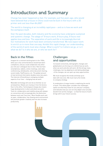### Introduction and Summary

Change has never happened so fast. For example, just five years ago, who would have believed that a house in China could now be built in five hours with a 3D printer and cost less than €4,000?

The world is changing at an incredibly rapid pace – and so is how we work and the workplace itself.

Over the past decades, both industry and the economy have undergone sustained and systemic change. The adage of '8 hours work, 8 hours play, 8 hours rest' applies less and less. The separation of work and life is increasingly blurred. Our motivations for work have been similarly transformed. We now expect work to enrich us in more than one way. Amidst this rapid change, our understanding of the world of work must also change. What is work? Is it where we go, or is it what we do? Is it who we are, or who we work for?

### Back in the Fifties

Imagine for a moment working back in the 1950s, when your only connected device would have been a telephone, and you could collaborate only when you met your colleagues face to face. Now we have smartphones, tablets, online meetings, web video conferencing, whiteboards, online document sharing, social media, TelePresence, etc. The global amount of new technical information doubles every two years. The Internet of Everything is reshaping multiple aspects of our lives – changing how we work.

Wearable technology will soon be as familiar as our wristwatches. Robots are moving in from the factory floor to the office. Technological change also means huge developments in when and where we work. Tools for collaboration and mobility along with alwayson connections will increasingly blur the distinction between work and 'free time'. More flexible work and an open, collaborative, free-flowing work environment will promote greater creativity and can also increase productivity.

### **Challenges** and opportunities

Increased connectivity, demographic changes and globalisation are forcing us to rethink how we work, when we work and who will work. All this brings many challenges, but, by adapting to and taking advantage of the changes, we can open up many opportunities.

1

We must recognise the trends and keep up to date with new ones. We must marry the trends to company strategy.

A combination of mega-trends is redefining the world of work. This white paper considers the challenges, spells out what they mean for you and your company, and indicates how you can not only adapt to but actually benefit from all the changes – so that the future of work brings with it your future success.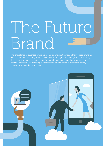# The Future Brand

The importance of business branding cannot be underestimated. Either you are branding yourself – or you are being branded by others. In the age of technological transparency, it is imperative that companies stand for something bigger than their product. In a crowded marketplace, branding is necessary to not only stand out from the crowd, but also to attract the right crowd.

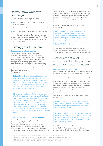### Do you know your own company?

Can you answer the following questions?

- Do your customers like your product or doing business with you?
- Do the next generation of workers know you exist?
- Do your employees like working for your company?

As you build your workplace of the future, you need to know the answers to these questions. They will not only determine who works for you but also whether customers need you.

### Building your future brand

#### **Communicating with consumers**

Consumers are bombarded with more than 5,000 marketing images and messages a day. This 'communication fatigue' means they ignore most messages.1 More and more companies are turning to novel branding approaches to make themselves heard. By using social media effectively, companies can cultivate and communicate with customer advocates who spread the word about their product or service. For example:

Dollar Shave Club enlisted 12,000 customers in two days when its YouTube video went viral. Its success rested on its humorous, engaging and authentic message. It quickly garnered an online community of brand loyalists. It is set to earn \$60 million in revenue this year.<sup>2</sup> Ten years ago this would not have been possible.

Obermutten, a village in Switzerland, launched a Facebook page to promote tourism. The village mayor promised that anyone who liked the page would have their profile printed and posted on the village bulletin board. This village of 79 now has over 45,000 fans. Four out of five fans are continuously active on the page, which outdoes Cola-Cola's Facebook page. From an investment of 10,000 Swiss francs, the village earned 2.4 million francs.3

### **Understanding the customers' perceptions**

You are what your customer perceives you to be. Brand is shaped by the customers' experience of it. You can advertise a phone as the best smartphone on the market, but in the end it's the customers who will determine this: they will ultimately create the brand. Fox News brands itself as being "fair and balanced"; its viewers believe this to be true, while critics pour scorn upon the claim. However, the critics are not the target audience so their perceptions matter little. It is the perceptions of its target audience that determine Fox News' brand and likeability. It understands its target audience and caters to them.

Firstly, it's essential to understand customers' perceptions:

McDonald's attempted to forge a deeper connection through its Twitter campaign, '#McDStories'. But the hoped for forum for heart-warming stories immediately became an opportunity to share horror stories. The campaign ended up not as #McDHappyMeals, but as #McDHorrorStories.

Companies should focus on brand perception: measuring customer perception through feedback or surveys. Disney and Apple rely heavily on such methods.

### "Brands are not what companies claim they are, but what customers say they are."

### **How user experience is crucial**

Brands are not what companies claim they are, but what customers say they are. That is why companies also need to focus more on user experience, which after all shapes the customers' perception of the brand overall.

Many companies focus on the product or service itself, leaving the experience as a by-product.<sup>4</sup> Taxi and hotel booking services are not new, but customer satisfaction and experience are driving the success of Uber and Airbnb. Experience itself tells a story and reinforces the brand.

User experience is set to play a large role in the future brand:

**Uber**, the premium car service app, centres its brand on its incredible user experience. It offers luxury at a small premium and as a result enjoys rave customer reviews.

Airbnb, a community marketplace that connects those who want to rent space with those who have a place to stay, focuses strongly on the end-toend experience of its users and thus builds strong relationships with them.

Part of the user experience that should not be overlooked is online customer service. Customers are looking to social platforms to resolve their issues,

<sup>1</sup> http://www.fastcompany.com/3023073/leadership-now/3-ways-to-create-magnetic-brand

<sup>2</sup> http://www.businessweek.com/articles/2014-05-16/dollar-shave-plots-to-take-over-your-bathroom

<sup>3</sup> http://www.brandingmagazine.com/2011/11/22/an-offline-facebook-campaign-for-swiss-village-of-obermutten/

<sup>4</sup> https://gigaom.com/2013/10/22/square-airbnb-and-why-experience-really-is-design/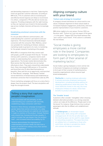and demanding responses in real time. Capturing this trend can generate customer advocates: according to NM Incite, 71% of customers who've received quick and effective brand response are likely to recommend it to others, compared to 19% who did not receive any response. Providing employees with the right training so they can represent your brand in the best possible way across multiple channels will become increasingly crucial.

### **Establishing emotional connections with the consumer**

It's not just about effective communication, and understanding the customer's perceptions and user experience. The future brand also demands deeper connection with the consumer. Marc Mathieu, senior vice-president for marketing at Unilever, believes marketing needs to go back to its roots: to marketing for the people instead of marketing at the people.

While 80% of companies think they connect well with people, just 8% of people think they do.5 To build intimacy with customers, companies need to work harder at understanding their customers' needs and expectations. The female market demonstrates this. Most women feel that advertisers do not market effectively to them. They want a brand that understands them. Dove interviewed 3,000 women in 10 countries and found that only 2% described themselves as beautiful. Dove saw this as an opportunity, and launched its 'Real Beauty' campaign. 'Real Beauty' tackled narrow definitions of female beauty and established an emotional connection that increased Dove sales by 20%.

Future marketing campaigns will focus on a story that is deeper than the product itself. The best storytellers will forge the strongest brands.

### Telling a story that captures people's imagination

The future brand will rest primarily, on first understanding your customers and, secondly, establishing a deep connection with them.

Pantene's 'Shine Strong' campaign leveraged the gender labels that women encounter on a daily basis. The advertising did not explicitly sell shampoo; it made no mention of the product. Instead, Pantene sold a brand that championed female equality. It used a concept that was deeper than the product itself – and increased brand favourability by 5%.

Pantene demonstrates the importance of understanding customer needs, but also how a brand can benefit from telling a story that catches people's imagination.

### Aligning company culture with your brand

### **'Culture eats strategy for breakfast'**

A company's brand intertwines its culture and its core values. Employee alignment to these values leads to increased employee engagement, productivity, and more positive representation of your brand to customers.

IBM sticks rigidly to its core values. Former CEO Lou Gerstner said: "Culture isn't just one aspect of the game – it *is* the game." Zappos CEO Tony Hsieh believes that "your culture is your brand". If the culture is cultivated, the rest follows.

"Social media is giving employees a more central role in the brand. Companies are looking to employees to form part of their arsenal of marketing tactics".

Social media is giving employees a more central role in the brand. Companies are looking to employees to form part of their arsenal of marketing tactics. A positive organisational culture ensures loyal brand ambassadors.

**Starbucks** is creating employee advocates It actively promotes employee training and development, including providing options for obtaining qualifications while they work. The more Starbucks invests in this way, the more employees embrace its values, which then benefits its product and services.

### **The 'liveable' brand**

Customers often consider 'intangibles' when choosing between alternative providers, so a strong corporate culture can make all the difference. People want to live the brand. For instance, Virgin Airlines tries to attract passengers who like its offbeat, anti-establishment attitude.

At Heldergroen, an Amsterdam-based design studio, desks, along with computers and paperwork, lift into the air after 6pm and the resulting space can be used for yoga classes or networking receptions. The space becomes an unlikely form of marketing to those who work there, and also to prospective clients who witness the design innovation.

5 https://gigaom.com/2013/10/22/square-airbnb-and-why-experience-really-is-design/

n a A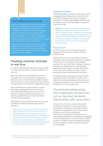### 'Your culture is your brand'

Zappos, the online retailer, has fostered a positive and unique workplace environment that creates willing brand ambassadors. It maintains a nomanagement structure, and staff are encouraged to spend time away from their desks in coffee stations or resting in a hammock in the time-out area. Achievements, big or small, are celebrated. Zappos even allows visitors to explore their Las Vegas HQ to witness the culture for themselves.

This positive culture is at the heart of everything Zappos does, from its hiring process through to performance reviews. This increases employee commitment and engagement while also building favourable brand awareness.

### Tracking customer attitudes in real time

As customer attitudes and expectations change rapidly, it is important to be aware of customer preferences in real time.

Never think that, you have established your brand once and for all – you need to keep checking current perceptions of your brand. Given the rapidity of modern communications, it is just as well that we have methods of tracking such communications in-depth and at speed.

At the 2013 Web Summit, Adam Williams, the UK MD of Spotify, highlighted that one of the tracks most streamed by students was 'Clair de Lune' by the French classical composer Debussy. No one could have predicted this, but now we can find out such facts through analytics.

MOOCs (Massive Open Online Courses) can also assist in building an employer brand through customer education.

Bank of America partnered with Khan Academy to create self-paced courses for customers on how to develop better money habits. They focus on financial skills directly applicable to customers' daily lives. Andrew Plepler, CSR and Consumer Policy executive at Bank of America, recognised that customers wanted to develop better financial habits but often lacked easy and accessible quidance.<sup>6</sup>

### **Employment branding**

Investing in job posts is costly and targets just a small demographic (active jobseekers are only 25% of the talent pool). Employment branding is a long term investment. It involves building digital assets that can be shared on social media repeatedly, as opposed to short term job ads.

Zappos, the online shoe retailer, abandoned the traditional CV and job postings format. Instead, it relies on Zappos Insider, a makeshift social network where candidates interact with employees and are exposed to the brand. This puts culture at the heart of the hiring process and ensures it only attracts hires who are the best fit and are already loyal brand advocates.

### **Personal brand**

In a PwC survey, two out of five people expected employment of the future to revolve around the personal brand.

People will focus more on the portfolio career and selling their skills to those who need them. Companies will thus have to work harder to align employee brands to their own brand. When employees' passions and talents are aligned with the corporate brand, engagement and productivity increase. Good brand relationships with employees will become just as important as brand relationships with consumers.

As companies align themselves to the brand of their employees, however, they need to be aware of the pitfalls. The increased transparency that comes with professionals living their lives online can both add to and detract from the company brand.

### "Good brand relationships with employees will become just as important as brand relationships with consumers."

Living our lives online has necessitated a growth in reputation management. Some people present themselves in a tailored way, while others embrace transparency. Inappropriate use of communication channels can tarnish both professional reputation and company brand. Websites such as *weknowwhatyouredoing.com* and *lamebook.com* highlight embarrassing behaviour or comments that a company can deem unsuitable. Numerous inappropriate videos go viral, showing how easily a company's reputation can be damaged.

<sup>7</sup> http://download.pwc.com/ie/pubs/2014-the-future-of-work-a-journey-to-2022.pdf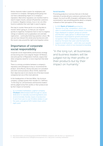Online channels make it easier for employees and customers to complain. Damaging words going viral can have a devastating impact on a company's reputation. Bad online reputation can manifest itself in search engine results, and put off potential customers or investors. Negative reviews, true or not, are often found on websites that rank high in search engines.

One way to counter these perils is to use big data to monitor what's going on, so that you can respond quickly to negativity. Companies have to react to negative ratings on websites such as glassdoor.com and take rapid action – continually fostering a positive culture. We can see how relevant this whole area has become with the recent rules around the right to be forgotten online.

### Importance of corporate social responsibility

Corporate social responsibility and business strategy are becoming even more aligned. Kasper Ulf Nielsen, executive partner of Reputation Institute, argues that what companies stand for is more important that what they sell.

There is a strong correlation between a company's reputation and willingness to buy or recommend the product. Zenia Mucha, Disney executive vice-president and chief communications officer (CCO), stated that their objective was to not only be one of the best-known companies but one of the most admired.

In the headquarters of Herman Miller, the furniture company, a plaque quotes their founder D.J. DePress: "In the long run, all businesses and business leaders will be judged not by their profits or their products but by their impact on humanity."

In a crowded marketplace, yoghurt company Chobani differentiated itself through its values: dedication to naturally sourced ingredients and environmentally friendly means of production. It went from zero to over \$1 billion dollars in just five years, and gained 52% market share within eight years.

### **Social benefits**

Promoting products or services that are in the best interests of society attracts customers and earns their respect. As much as 60% of people's willingness to buy, recommend or say something positive about a company is based on their perception of the company.

In 2013 **Bank of Ireland** launched its 'Sponsor for a Day' competition, which was open to small businesses across Ireland, to provide logos displayed on players' jerseys at Leinster and Munster rugby games. It offered these small businesses a launchpad for growth and brand recognition.<sup>9</sup> Bank of Ireland thus reinforced its brand as 'the bank that cares' and 'the bank that supports small business' – and it also won awards for the project, which in turn boosted its branding.

"In the long run, all businesses and business leaders will be judged not by their profits or their products but by their impact on humanity."

8 http://www.forbes.com/sites/jacquelynsmith/2013/10/02/the-companies-with-the-best-csr-reputations-2/

9 http://www.allaboutbusiness.ie/blog/business/sponsors-for-a-day-prove-a-winning-combination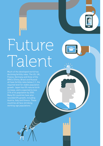# Future Talent

Much of the developed world has declining fertility rates. The US, UK, France, Germany and three of the BRICs (China, Brazil and Russia) all have fertility rates below 2.1, the required level for stable population growth. Japan has 0% natural birth increase, and is expected to lose 21% of its population by 2050. Many EU countries have also recorded 0% growth, including Austria, Italy and Greece. These countries all face shrinking working-age populations.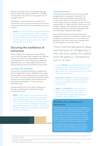Both the US and Germany recorded talent shortage of 40% in 2014 while Japan recorded 81%.10 By 2050 in Europe there will be twice as many people over 65 as people under 15.11

Demographic trends will make it more difficult for companies to source and secure the talent of tomorrow. Increasingly, they will need to look towards new sources of labour.

Nestlé, the Swiss food giant, is seizing the initiative. By 2024, 15% of its European workforce will have retired; to tackle this the company has launched a recruitment drive to secure 20,000 young workers. Over the next three years, it aims to hire 10,000 people under the age of 30.

### Securing the workforce of tomorrow

Global employers are reporting an unprecedented level of talent shortages. Most companies are adopting new ways of working, including additional training and development for staff. Companies are redefining qualifying criteria to include people who lack some required skills but have the potential to acquire them.

### **Looking to older candidates**

To tackle the coming skills shortage, companies will begin to target older workers. By 2030 the percentage of older workers in the global workforce is expected to rise to 22%. In Germany researchers found that raising the labour-force participation of those aged over 55 could add the equivalent of 1.2 million full-time qualified workers.

Recognising this future trend, some companies are focusing on alleviating the challenges that older workers face at work:

**BMW** in 2007 staffed one of its production lines with employees whose average age equalled the projected average age of the workforce in 2017. Then it asked them for ideas. Some design changes – such as better lighting, adjustable magnifying glasses, and forgiving floor material – cost less than \$50,000 to implement, but made all the difference to their older workers.

#### **The female potential**

The potential female labour force remains a largely untapped asset in many parts of the world. The German research quoted above also found that increasing the share of women working full-time could increase Germany's workforce by up to 2 million people by 2025. In Japan only 48% of women are in the workforce. Western multinationals such as Unilever and American Express have taken advantage of this and hired Japan's high-potential females.

One in five female parents leave work because of unhappiness in their job and a desire for a better worklife balance, compared to one in 10 men. Women are pessimistic about their ability to both manage home life and progress to more senior levels.

"One in five female parents leave work because of unhappiness in their job and a desire for a better work-life balance, compared to one in 10 men."

In India, **Infosys** has stemmed the flood of women leaving work after having a child by offering one year sabbaticals for new mothers, part-time job options, day-care centres located close to its offices and onsite supermarkets.

Cisco, GE and Intel all host networking events for female employees in Southeast Asia, where they can forge helpful connections and find moral support.

Apple and Facebook recently offered the option of freezing eggs for staff under their maternity benefits.<sup>12</sup> It's an innovative (if somewhat controversial) way of attracting top female talent piloted in the U.S.

### Building the workforce of tomorrow

IBM in the U.S has invested in P-TECHs (Pathways in Technology Early College High Schools). These are technology-focused charter schools that provide six years' high school education, and two years of focused post-secondary training in computer programming and related skills. It is an innovative initiative filling an educational gap and providing the necessary skills for the future jobs market.

The impact of the CoderDojo, an open source, volunteer led, global movement of free coding clubs for young people highlights how different educating the workforce of tomorrow will be.

- 10 http://www.manpowergroup.com/wps/wcm/connect/ec2b6e68-bc26-4e5a-8493-78a9b53c5ab8/2014+Talent+Shortage+Infographic-Final. pdf?MOD=AJPERES
- 11 http://www.manpowergroup.com/wps/wcm/connect/69953721-5e3c-499b-9ea2-f821bc73b39f/How\_to\_Navigate\_the\_Human\_Age\_Right-Management.pdf?MOD=AJPERES

12 http://www.theguardian.com/money/us-money-blog/2014/oct/14/apple-facebook-pay-women-employees-freeze-eggs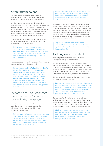### Attracting the talent

Job adverts should be viewed as a marketing opportunity, as a means to sell your company to top talent as opposed to weeding out candidates.

It is vital that companies make their jobs visible. Making jobs hard to find means losing out on attracting the best candidates. Is your website optimised for mobile phones? Around 25% of job-seeking millennials (the generation born between 1980 and 2000) expect mobile-optimised career websites. Almost half of jobseekers use a mobile device to look for jobs.

Websites need to be easily accessible from a range of mobile devices and allow uploading of portfolios or resumes from a mobile phone.

Sodexo developed both a mobile-optimised career site and an app for ease of access. This app had 17,000 downloads the first year, identified over 2,000 job candidates and led to 141 new hires. All this saved the company \$300,000 in job board postings.

New companies are emerging to reinvent the recruiting process and help solve the talent crisis.

Companies such as Gild, TalentBin and Entelo use people analytics to examine candidates' publicly available work, to spot difficult to find talent. They can blend data from social media sites to create profiles for coders, programmers and software engineers. Companies can then search these profiles for candidates with the desired skillset, instead of focusing solely on the strength of their cover letter or how they perform in an interview.

"According to *The Economist*, there has been a "collapse of loyalty" in the workplace".

In the future talent search, the Internet will become jobseeker's resume and social networks their references. Hiring managers could rely on automated tools to recruit.

IBM developers believe they can assess a person's psychological traits by analysing hundreds of their tweets. They tested the results of their Twitter analysis against psychometric test results, and found a close correlation between their tweets analysis and the test results.13

**Knack** is changing the way that employers look at potential talent. It uses games to assess strengths, self-awareness and motivation; then uses that information to match people with the most suitable employer.

Algorithms and people analytics will become central to the future recruiting process. Technology can also open up new talent pools, such as people seeking more flexible arrangements or to help those with disabilities. Character readers and voice-recognition devices can assist workers with visual impairment. Geography will matter less and less as organisations seek to hire the best talent, regardless of location.

**Topcoder** offers access to a worldwide community of freelance developers. It divides up clients' IT projects and the top coders compete to secure the job.

### Holding on to the talent

According to *The Economist*, there has been a "collapse of loyalty" in the workplace.

Companies cannot afford to lose their best people. HR now talk about "regrettable turnover". For example, only 18% of millennials expect to stay with their current employer long-term. During the recession, 72% felt they had compromised themselves to get a job. Therefore, with the economic recovery comes increased turnover.

Companies need to recognise the importance of worklife balance to retain top talent.

**SAS** invests in employee well-being and happiness. One employee said: "SAS walks the talk on work-life balance." It has ensured employee loyalty and 95% of its employees look forward to going to work. The turnover rate among software firms in general averages 15.5%. The SAS rate is 4%.

Companies often fail to invest in their employees, understand their needs and figure out what motivates them. Talented candidates are excited about their career and future. Focusing on career development and the employee's future encourages loyalty and engagement.

Shell has appointed 'career stewards' who meet regularly with emerging leaders, assess their level of engagement, help them set realistic career expectations and make sure they're getting the right career opportunities.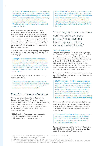Johnson & Johnson develops its high-potentials through its nine month LeAD programme, in which participants receive advice and regular assessments from coaches brought in from outside the company. More than half of participants have already moved on to bigger positions in the company. This investment ensures greater productivity and employee loyalty.

A PwC report has highlighted that many mothers feel their employer is not doing enough to assist them in balancing their responsibilities at home and at work. Only 52% of women feel supported by their employer to develop their careers. They would value more support and empathy from their line manager in order to harness their full potential. They want better management of their talent and stronger support for their career development.

Encouraging location transfers can help build company loyalty. It also develops leadership skills, adding value to the employees.

**Dimagi**, a mobile app development company. launched an 'Away Month' programme to inspire energy and innovation that staying in their office in Boston would not have given rise to. Workers travelled to South America for a number of weeks, gaining the opportunity for team-building and networking.

Companies are eager to keep top talent even if they move to another city.

**Launchsquad** has benefited from enabling its workers to relocate. Its offices in New York, Boston and Detroit were all established by a go-getter employee who wanted to move cities.

### Transformation of education

The increasing cost of education will exacerbate the future skills gap. In the US, college enrolment decreased by 2.3% in 2013. People's valuing of university degrees is free-falling because technology has set knowledge free and access to education is no longer monopolised by living standards, ability to pay or geographical access.

MOOCs (massive online open courses) open up the power of knowledge to the world, including to intelligent youths in developing countries.

Khadijah Niazi (aged 12) was the youngest girl to complete Udacity's Physics 100 class, and with the highest distinction. In 2013, she gave a presentation at the World Economic Forum in Davos on her experience. Daphne Koller, one of the founders of Coursera,15 said: "We don't know where the next Albert Einstein is. Maybe she lives in a small village in Africa"

"Encouraging location transfers can help build company loyalty. It also develops leadership skills, adding value to the employees."

### **Solving the skills gap**

Companies still prioritise the traditional college degree over online qualifications (only 14% say they would hire a candidate who attained a qualification online). But MOOCs can provide a solution to the skills gap, playing an increasing role in closing the gap between what college students know and what businesses need. A Gallup poll highlighted that only 11% of U.S. business leaders believe that newly graduated candidates have the skills required for success in the workforce.

MOOCs can provide the practical training that is missing, especially in a future workplace where continual training will be a requirement.

McAfee turned to MOOCs to assist in corporate training. By 'flipping the classroom' (students learn mainly by being given access to course materials and discussing issues with fellow learners as well as the trainer), McAfee transformed its new hire training. This saved time spent on training and produced more lucrative sales. McAfee's sales associates attribute an average of \$500,000 per year in sales to the skills they learned in the new training.

MOOCs also offer companies the opportunity to source qualified candidates. Some corporates are taking the long-term view in actively partnering with universities and education institutions to help provide the future talent pipeline

**The Open Education Alliance** – a consortium of tech companies including Google, Autodesk, and AT&T working in partnership with Udacity – develops learning tracks and pledges to hire students who complete them.

Companies can create talent pipelines by collaborating with MOOC providers and designing curriculums that suit their needs and identify top students.

16 http://www.strategy-business.com/article/09208?pg=all

<sup>15</sup> http://www.nytimes.com/2013/01/28/business/davos-considers-learnings-next-wave.html?\_r=0

<sup>17</sup> http://www.roadandtrack.com/features/web-originals/forgotten-history-of-ford-factory-in-cork-ireland

<sup>18</sup> http://www.merrionstreet.ie/en/News-Room/Speeches/opening-address-by-minister-for-diaspora-affairs-jimmy-deenihan-t-d-at-thenyci-conference-on-return-migration-home-is-where-the-heart-is.61287.shortcut.html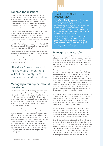### Tapping the diaspora

When Dov Frohman decided to move back home to Israel, Intel was loath to let him go. It allowed him to head up the establishment of the first Intel outpost outside of America - in Israel.<sup>16</sup> Similarly, Henry Ford's deep connection to his ancestral home and in particular to Cork drove him to build the company's first automobile plant outside of America.<sup>17</sup>

Looking to the diaspora will assist in securing future talent. China, India and Israel strengthened their economies by networking with their diasporas, particularly those in the US. A total of 3% of the world's population (215m people) live in a country other than the one in which they were born. Ireland's diaspora numbers over 70 million globally, with most living in the US, UK, Canada and Australia. Many already had jobs but left in search of better opportunities.<sup>18</sup>

Globalisation of entrepreneurial networks allows for international migration to become a reversible process. Those with scarce technical skills can collaborate virtually to assist their home economies while maintaining their professional ties in more advanced economies.19

"The rise of freelancers and flexible work arrangements will call for new styles of management and motivation."

### Managing a multigenerational workforce

A multigenerational workforce brings two main risks. First, older people will no longer be able to afford to retire early and will work for longer, thus blocking the path for ambitious millennials. Millennials move on quickly if they feel that their needs are no longer being met. Secondly, over the coming years millennials will be placed in the position of managing older workers. This may provoke tensions.

Managing a multigenerational workforce requires strong leadership and a recognition that different generations require different styles of management. It will be important to understand what motivates each generation, tailor your response to build more effective teams and rewards, and build a culture that meets the shared needs of the multigenerational workforce. For example, everyone craves respect, everyone wants professional development and everyone appreciates regular feedback. It will also be necessary to engage multigenerational teams by committing them to shared goals.

### How Tesco CEO gets in touch with the future

For the Tesco Chief Executive, part of his strategy centres on understanding how technology is changing the industry. To help him keep on top of rapid technological change, he is reverse-mentored by employee Paul Wilkinson, who is in his late 20s, once a month. He hopes to gain insight into his employee's generational mindset, in particular regarding the use of technology.

The sessions help the CEO understand how his customer will think, interact and operate in the future. This is helping to drive innovation by Tesco. It also assists in Wilkinson's professional development, providing him with corporate knowledge and business insight.

### Managing remote talent

The rise of freelancers and flexible work arrangements will call for new styles of management and motivation. It will be vital to build trust from the start. There needs to be understanding on all sides of goals and targets. It will then be the responsibility of the remote workers to complete the task.

Management will need to focus on new yardsticks for productivity, and communicate them effectively. Many companies use activity-tracking software to monitor keystrokes and Internet history, combined with the taking of periodic screenshots throughout the workday. The number of companies in the US that use some form of electronic monitoring has greatly increased. McKinsey research shows that such monitoring increases worker stress and decreases job satisfaction. Where it does lead greater productivity, this is frequently accompanied by a decrease in quality and customer service.

This research shows the effects of electronic monitoring on relatively simple work such as data entry. Imagine its effects on staff performing more complex tasks! In short, such monitoring is a crude, quantitative, mechanistic method that appears to increase stress, lower morale and reduce quality of work.

Companies will get better results if they show more trust in their workers and use quality management to monitor the *quality* of work. Less Big Brother, and more trust in our employees – with good leadership, a supportive culture and effective communication.

Organisations will have to be comfortable in delegating projects and task work to specialists around the world. This will require a restructuring of traditional workflows. As the workforce becomes more remote, collaboration will become a priority. Companies will also need to facilitate spaces for meeting with onsite colleagues when needed, and invest in intuitive collaboration technology for effective employee communication.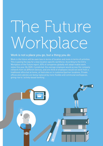# The Future Workplace

### Work is not a place you go, but a thing you do

Work in the future will be seen less in terms of location and more in terms of activities. This is paving the way for a less location specific workforce. According to the Citrix Workplace of the Future report, 83% of companies globally will adopt mobile work styles this year. By 2020, it predicted, the average employee would access the company network from six different devices, and one third of employees would not work from a traditional office but at home, at field sites or in customer/partner locations. Private offices and cubicles are being replaced by more flexible and communal workspaces, giving rise to 'activity-based working'.

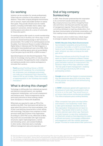### Co-working

Isolation can be a problem for remote professionals. Urban hubs are a solution to this problem of social distance. These often uniquely designed environments aim to connect, inspire and enable workers to realise their goals. They provide infrastructure for mobile workers, including comfortable chairs, tables, highspeed wi-fi connection, kitchen facilities, private meeting spaces and, above all, a sense of community for those who want it.

Co-working spaces offer month-to-month memberships and provide access to facilities, be it three-days-a-week access to a shared working lounge or 24/7 access to a personal desk. The number of co-working spaces across the globe, from Somerset House in London to Bandung Digital Valley in Indonesia and The Hub Singapore, is estimated to have doubled each year since 2006. More than 2,000 co-working spaces were set up worldwide in just two years (up to end 2012), a 250% increase.<sup>20</sup>

Specialised spaces are also becoming popular. They allow for knowledge-sharing within an industry and for greater innovation. Recognising this need, companies are looking to provide more creative workspaces to stimulate their workers.

Ford launched TechShop Detroit, a 33,000 square foot DIY workshop. For a membership fee, employees, non-employees and retirees can make use of equipment that is beyond the means of DIY as just a hobby. There is an energy of experimentation in the TechShop that inspires innovation.<sup>21</sup>

### What is driving this change?

Technology is shifting jobs from relatively permanent and lifetime to less permanent, non-standard employment relationships, such as self-employment and freelance work. These arrangements may be particularly attractive to those seeking a better work-life balance or those with disabilities.

Millennials are expected to make up 75% of the workforce by 2025. Their dominance will define to a great extent the culture of the future workplace. One of their most defining characteristics is their affinity with technology. They place more emphasis on their personal needs than on those of the organisation. According to a 2014 PwC survey, *Millennials at Work*, they tend to be uncomfortable with rigid corporate structures; expect rapid progression, a varied and interesting career, and constant feedback. In other words, millennials want a markedly different management style and corporate culture.<sup>22</sup>

### End of big company bureaucracy

In 2001, Peter Drucker predicted that the corporation in its current form would not be able to survive. Big company bureaucracy will be changed by those who work there, how they work and the new styles of management required. There will be a shift from controlling individuals to inspiring collaboration; from top down communication to horizontal conversation, and from making money to delighting customers profitably.<sup>23</sup>

New corporate culture models have, indeed, begun to emerge to replace the traditional bureaucracy.

### ROWE (Results Only Work Environment)

has increased in popularity among American companies. It provides a model for a more flexible future of work. Its slogan is "Work whenever you want, wherever you want, as long as the work gets done."

Measuring employee productivity through time spent at a desk is considered outdated; instead, managers focus on clear job descriptions, attainable goals and better methods of measurement. Eric Severson, Head of HR at Gap, called the model "the holy grail of talent management", crediting it with raising productivity by 22% among participating workers.

Google allows staff the freedom to pursue projects they are passionate about 20% of the time. Many of their popular new products are birthed during this '20% time'.

At **BMW**, employees agreed with supervisors on the amount of work they would perform either at home or on the road. They record hours on an honour basis and are reimbursed accordingly. This offers employees great working flexibility.

Other companies have gone one step further and initiated a 'non-leadership' model. Valve, a video game developer, describes itself as a 'flat organisation'. Employees do not report to anyone. They decide what to work on, where to work, and even each other's pay. Teamwork is crucial, however; to save time, workstations are fitted with wheels so that dispersing into teams is efficient and quick. It encourages collaboration and engagement with like-minded, passionate people. This kind of model attracts 'elite' performers.

21 'The Third Wave of Virtual Work', Tammy Johns and Lynda Gratton, http://hbr.org/2013/01/the-third-wave-of-virtual-work/ar/1

22 http://www.pwc.com/gx/en/managing-tomorrows-people/future-of-work/assets/reshaping-the-workplace.pdf

23 http://www.forbes.com/sites/stevedenning/2014/07/29/the-best-of-peter-drucker/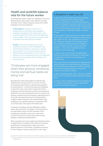### Health and work/life balance vital for the future worker

Technology has made it easier for employees to be more flexible, but has also made it more difficult to escape work after hours. Many companies realise that rested employees are more productive.

Volkswagen's company email server is programmed to stop delivering messages to employee smartphones 30 minutes after work, and starts again 30 minutes before the beginning of the workday. This is an attempt to prevent their employees from being 'always available'.

**Quirky**, a New York based start-up which shepherds inventions to the marketplace, has implemented a 'blackout' week once a quarter, during which no one except customer service representatives are allowed to work. This is an attempt to remove distractions from the employees' environment, encourage creative thinking, and prevent burnout.

### "Employees are more engaged when their physical, emotional, mental and spiritual needs are being met"

New data has shown that people are experiencing heightened stress levels and new sources of stress. Consequently, absenteeism is quickly being replaced by 'presenteeism', a culture that pressures employees to show their faces at the office irrespective of their wellbeing or the fact that they could be more productive elsewhere. This trend is becoming more of a concern for business. Research by the Corporate Leadership Council in the UK, has found that the price of presenteeism is eight to twelve times the cost of absenteeism. Sick employees are only 55% productive compared to 75% on 'normal' days. This impacts the bottom line.

In Ireland, according to the Aviva Workplace Health Index, about one third of employers cite presenteeism as a key health concern for their business. Since employees are afraid to ring in sick, many come to work with ailments such as back and neck pain, allergies, migraines and depression.24

Many companies are slow to adopt more flexible working arrangements as managers find it difficult to measure productivity of remote workers. Many rely on the physical presence of the worker. Companies are going to have to begin to assess productivity in other ways.

### A daughter's wake-up call

In early 2014, Mohamed El-Erian made headlines when he resigned as CEO of trillion-dollar investment fund PIMCO. He said he had asked his 10-year-old daughter why she wouldn't listen to him when he asked her to brush her teeth. She gave him a list of 22 milestones he had missed – from her first soccer matches to Halloween parades – because of work.

El-Erian wrote. "I had a good excuse for each missed event! Travel, important meetings, an urgent phone call, sudden to-dos… But it dawned on me that I was missing an infinitely more important point". Since resigning, El-Erian has been managing "a portfolio of part-time jobs" that give him more flexibility – so he can, for example, drive his daughter to school every day.

In another case, former CEO of MongoDB Max Schireson wrote about his decision to resign after he realised how much he was missing in his children's lives

These cases raise an interesting point regarding the work-life balance of male executives. According to a 2013 Pew Research study, 46% of fathers reported that they don't spend enough time with their children, versus 23% of mothers.

As Steven Wright quipped, "When I was 10, my father told me never to talk to strangers. We haven't spoken since."

Company chiefs considering their work-life balance? It's a healthy development. But they also need to consider that of their employees.

24 http://www.independent.ie/business/irish/irish-bosses-worried-by-new-trend-of-presenteeism-29561252.html

25 http://www.forbes.com/sites/ekaterinawalter/2013/10/15/want-to-find-brand-ambassadors-start-with-your-

employees-2/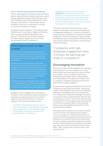### **Stress reduction and competitive advantage**

There is a growing trend in corporate America of taking steps to reduce stress and improve health and creativity through meditation and yoga. William George, former CEO of Medtronic and now Harvard Business School professor, states that the "main business case for meditation is that if you're fully present on the job, you will be more effective as a leader".

According to Ariana Huffington, "stress reduction and mindfulness don't just make us happier and healthier, they're a proven competitive advantage for any business". A Gallup poll revealed that companies with high employee engagement have 3.9 times the earnings per share of competitors.25

### From 'have to work' to 'want to work'

At Treehouse, the online interactive education platform, staff are encouraged to fit work into their life, not their life into their work. They work four days a week, and are discouraged from working at weekends.

Employees choose what they do, rather than being told what to do. Each day they get an email highlighting new projects; they can add who is needed for the project and then those individuals can decide if they want to join the project or not. This changes the dynamic from 'have to work' to 'want to work', which empowers staff, engages them and harnesses their passions.

Treehouse makes over \$8 million a year and has over 54,000 students. CEO Ryan Carson believes he has created the model for future companies, one that is technology driven and employee-led.

Employees are more engaged when their physical, emotional, mental and spiritual needs are being met.<sup>26</sup> Companies are beginning to take into account the impact of stress on their bottom line. They want employees to bring their best selves to work.

The CEO of the third largest insurer in the US made yoga available to all employees nationwide. Many companies now offer subsidies for gym memberships, comfortable rest areas in the office, fresh fruit in the office, etc.

Corporate technology is also catching up. **DeskTime** is an app that sends alerts to employees to remind them to take a short break. Short breaks correlate with higher productivity. Workers prompted to take a break were found to be 13% more accurate in their work on average than those not reminded to do so.<sup>27</sup>

The worker of the future may self-monitor, using healthcare desk apps to check they are taking breaks, are adequately hydrated, etc. A new era of medicine is being driven by a combination of wearable technologies and big data. This has the potential to improve quality of life by detecting the most prevalent ailments such as heart disease and preventing disease using health and wellness techniques.

### "Companies with high employee engagement have 3.9 times the earnings per share of competitors."

### Encouraging innovation

Neuroscientist Shane O'Mara highlights the importance of allowing your brain some downtime: you can get better results if you move away from a task and return to it refreshed. There is no better mood enhancer than getting a good night's sleep. It helps cognitive functioning leading to innovation and creativity. There is a significant competitive advantage to be had from well rested and healthy employees.

Because we are constantly bombarded at work, we are not giving our brain much time to think – let alone be creative. In Rita McGrath's book *The End of Competitive Advantage*, she highlights that the 40 year lead-time one could get from competitive advantage is now down to five years for fast-moving businesses. We thus need our people to be creative – but we must create the kind of environment in which employees can work creatively. In 2013 PwC surveyed 246 CEOs in North and South America, Asia and the Middle East and 97% said the top priority was innovation.

Most people admit they get very few of their best ideas at work, but rather when driving, having a shower or on a sun lounger, etc. If Einstein was working in a modern university and regularly seen sitting on a bench, thinking, he'd no doubt be dismissed as unproductive. His value would be measured according to the number of peer reviewed publications he'd produced in the past year. But, as he said to the prolific French writer Paul Valery, "Well, I've only come up with one idea – but it was a good one!"

26 http://www.nytimes.com/2014/06/01/opinion/sunday/why-you-hate-work.html?\_r=1

<sup>27</sup> http://m.theatlantic.com/business/archive/2014/09/science-tells-you-how-many-minutes-should-you-take-a-break-for-work-17/380369/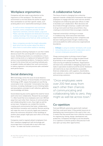### Workplace ergonomics

Companies will also need to pay attention to the ergonomics of the workplace. The ideal work environment is one that allows the worker to adjust their workstation to suit their specific needs, such as being able to sit or stand while working at a desk.

As well as stress management and nutritional seminars, some companies provide 'Sit Safe' ergonomic seminars, exercise classes, yoga and Pilates, specially designed and dedicated rest areas, 'walking meetings' that encourage workers to get outside and enjoy some fresh air while working, etc.

Many companies provide the height-adjustable desk which lets the worker adjust the desk to allow them to work either seated or standing.

With companies allowing employees to use their mobile devices at work this can bring with it various health issues. Sending long emails on a smartphone or hours spent craning necks on a laptop are bringing with them various musculoskeletal problems. Companies need to be alert to the stress that such working methods puts on people's bodies and adjust their work environment to reduce ergonomic risk and promote safer and better work performance.

### Social distancing

With technology comes the issue of social distance. Sherry Turkle, professor of Social Studies of Science and Technology at MIT, argues that people are sacrificing conversation to be 'connected'. Conversation has many functions, including challenges to one's thinking habits and assumptions, prompts to self-reflection, gathering new knowledge and ideas.

Social distancing also works against the need for future work to be more collaborative. Research by sociologist T.J. Allen found that once employees were over 200 feet away from each other their chances of communicating and collaborating falls to zero, they might as well be across town. Companies can combat this trend by creating work environments that foster collaboration, and therefore innovation and creativity. Remote working will make this more of a priority. Apple even looked at where the restrooms should be in their buildings as another place people might pass each other on the way there or back.

Companies need to regularly detach employees from their ceaseless engagement with technology and encourage them to actually talk to each other face to face – to make real human connections.

### A collaborative future

The future of work is changing from a directive approach towards collaborative frameworks that inspire employees to engage with their work and one another. Companies are embracing open plan offices in order to facilitate such collaboration. More decisions will be arrived at through consensus. Leaders will need to let go more and trust those around them, thus creating an environment that encourages creativity.

Improved connectivity is driving an increase in crowdsourcing. Some executives have been experimenting with opening up their companies and decision making processes though crowdsourcing, and social platforms within and across organisational boundaries.

Infosys is using its workers' familiarity with social networking sites as a tool for collaboration and to connect employees around the world.

Cheap communication is driving a trend of hyperspecialisation.28 Work will no longer be determined by proximity to the company HQ. This will require a restructuring of traditional workflows. Organisations will have to be comfortable in delegating projects and tasks to specialists located around the world. Handovers will need to be as clear and effective as possible. External collaboration, with suppliers, shareholders, and customers, is also vital for competitive advantage, and servicing customers.

"Once employees were over 200 feet away from each other their chances of communicating and collaborating falls to zero, they might as well be across town."

### Co-opetition

Ford and GM both automotive giants both realised that they could work faster if they pooled resources on developing new transmissions to be used in their cars. It means that they would have more collective resources for engineering, testing, design, development and production. Companies will begin to see the benefits of co-opetition to shorten product lifecycles but it will also open up many other opportunities.

<sup>28</sup> http://hbr.org/2011/07/the-big-idea-the-age-of-hyperspecialization/ar/1?referral=00060 and source: http://blogs.hbr.org/2011/07/thefuture-of-work-20/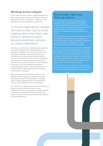### Working across cultures

As the world becomes smaller – and Richard Branson plots a way to get from London to Sydney in two hours by leaving the Earth's atmosphere – we have to start looking at how cultural differences affect work.

"In future organisations, people will have to take care to avoid judging others from their own frame of reference and to become extremely sensitive to cultural differences."

Erin Meyer, a culture guru, highlights many examples of cultural challenges. One survey looked at the perceptions of people from various countries of what constituted an effective meeting. Most Americans surveyed said that they expected "a good meeting" to produce a firm decision. Most French indicated that they would think a meeting had been productive if it allowed them to "debate and share various viewpoints". In contrast, most Thais believed the purpose of a good meeting as being "to put a formal stamp on a decision that has been made before the meeting, in informal pre-meetings"!

Meyer also points out how Swedish culture is very egalitarian while in Japan, for example, decisions are generally made from the top down, so having a Swede manage Japanese staff will be problematic if these cultural differences are not understood.

It is clear that, as companies become less homogenous, different cultural outlooks will lead to many complications. In future organisations, people will have to take care to avoid judging others from their own frame of reference and to become extremely sensitive to cultural differences.

### Why an Asian 'clash' took Olivier by surprise

The culture guru Erin Meyer provides a great example of how cultural differences can affect employee engagement. She quotes a letter sent to him by Olivier, an executive at French automotive supplier Valeo, which has big client bases in Germany and Japan, and a growing presence in China.

Olivier wrote about "the invisible cultural boundaries impacting the effectiveness of my global team". When he moved to China, he thought the difficulties would mainly arise in bridging the cultural differences between Asians and Europeans.

To his surprise, however, "the most serious difficulties we have on the team are between the Chinese and the Japanese. The Chinese gripe that the Japanese are slow to make decisions, inflexible, and unwilling to change. The Japanese complain that the Chinese don't think things through, make rash decisions, and seem to thrive in chaos." As a result, the two Asian groups "have difficulty working together".

Meyer responded that the problem could be solved by increasing the awareness of team members about how culture specifically affects their effectiveness.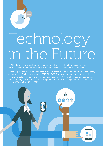

# Technology in the Future

In 2015 there will be an estimated 20% more mobile devices than humans on the planet. By 2020 it's estimated there will be over 50 billion devices connected to the Internet.

Ericsson predicts that within the next five years there will be 5.9 billion smartphone users, compared to 1.9 billion at the end of 2013. That's 85% of the global population, a technological expansion faster than anything that has happened before.<sup>29</sup> Most of the demand comes from the developing world. Mobile broadband penetration in Africa is expected to reach close to 20% in 2014, up from 2% in 2010.

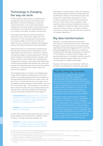### Technology is changing the way we work

Forward thinking organisations are designing and managing business processes that enable a new generation of connected employees. Social and community features, such as discussion boards, collaboration and social analytics, allow teams to work seamlessly across traditional organisational lines so as to unleash more talent, innovation and efficiency.

Technology is facilitating the disintermediation of industries; that is, reducing the middle man from transactions.30 This is disrupting the retail industry (e.g. Amazon, eBay), taxi services (e.g. Hailo and Uber), the music industry (e.g. Spotify), and broadcast television (through on-demand services like Netflix).

3D printing looks set to revolutionise manufacturing. It brings with it the potential to manufacture in their homes what consumers want or need. GE is using 3D printing technology to create prototype parts. This will lead to a decline in manufacturing jobs. However, jobs will be created for those producing, maintaining and managing the machines. Some predict that 3D printing could bring about global trade rebalancing, as this new method of manufacturing will reward more high-skilled workforces in countries, while cheaper labour will become less relevant.31

Technological advances in robotics are bringing about an age of technological unemployment. The prices of robotics have dropped approximately 10% annually over the past decades and will decline at a faster rate in the near future. It is expected that many low-wage service occupations will be automated. Andrew McAfee calls this the "new machine age". The production of cars that are able to drive themselves will soon displace deliverymen and taxi drivers, and stock handling is already being carried out by robots instead of by manual labour.<sup>32</sup>

General Electric designed robots to climb and maintain wind turbines. El Dulze, a Spanish food company, uses robotics to reject bad heads of lettuce from its production line.

**Amazon** has started to use drones to deliver parcels to remote areas

In 2013, 20% of global robotics sales took place in China where employers are incentivised to substitute robots for labour, as wages and living standards rise.

Foxconn, a Chinese contract manufacturer that employs 1.2 million workers, is now investing in robots to assemble products such as the iPhone.

Technology is a huge disrupter of jobs. According to a 2013 study by Oxford economists Carl Benedikt Frey and Michael A. Osborne, 47% of American jobs were at high risk of automation relatively soon. These include accountancy, technical writing, legal work, and a lot of other white-collar occupations. Jobs requiring creative and social intelligence are less at risk.33 Designers of industrial robots claim that their creations are there to assist, not replace. However, more and more of their role will move from assistance to complete substitution.<sup>34</sup>

### Big data transformation

'Big data' is transforming how we do business, particularly for industries that centre on data-based strategies, and services that are enriched with data. Organisations that delay engaging with this trend risk being leapfrogged by more data-savvy competitors. Companies that effectively use big data can transform it into intelligence, to deliver better strategic and operational decisions. It provides the ability to identify trends and develop unique insights that can help a company gain a competitive advantage.

Employers will need to ensure that their staff have the skills to use big data for competitive advantage.

### Big data brings big benefits

Big data delivers intelligence. One company harnessing this information advantage is GlaxoSmithKline (GSK). This globally successful pharmaceutical company partnered with McLaren, which uses data to achieve victory on the racetrack, to better understand the power of data-driven strategies. With the assistance of McLaren, GSK developed a system where vast quantities of information were processed to assist with drug development and decisions on product viability.

Big data can help companies gain an essential competitive advantage. It can also make the HR department more effective. At Evolv, it enables better understanding of its employees, which in turn can prevent excessive turnover. It also provides a more detailed account of employee performance. When assessing employees and job candidates, 500 million data points are taken into account. Such data can help predict when an employee is most likely to leave. Using this software, Xerox, one of Evolv's clients, has been able to cut attrition by 20%.

- 29 http://www.forbes.com/sites/timworstall/2014/05/18/astonishing-number-ericsson-predicts-5-9-billion-smarpthone-users-within-5-years/ 30 https://www.youtube.com/watch?v=V40ceiQXEHA#t=71
- 31 http://www.businessinsider.com/how-3d-printing-will-affect-manufacturing-jobs-2014-8
- 32 whttp://www.ted.com/talks/andrew\_mcafee\_what\_will\_future\_jobs\_look\_like?utm\_source=email&source=email&utm\_ medium=social&utm\_campaign=ios-share#t-68217
- 33 http://www.oxfordmartin.ox.ac.uk/downloads/academic/The\_Future\_of\_Employment.pdf
- 34 http://www.economist.com/news/briefing/21594264-previous-technological-innovation-has-always-delivered-more-long-run-employmentnot-less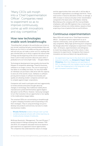"Many CEOs will morph into a 'Chief Experimentation Officer'. Companies need to experiment so as to improve continuously, come up with innovations and stay competitive."

### How new technologies enable work breakthroughs

*"Everything that's already in the world when you're born is just normal; anything that gets invented between then and before you turn thirty is incredibly exciting and creative and with any luck you can make a career out of it; anything that gets invented after you're thirty is against the natural order of things and the beginning of the end of civilisation as we know it until it's been around for about ten years when it gradually turns out to be alright really."* – Douglas Adams

Technological developments have greatly shortened the lifespan of competitive advantage. Powerful business software is no longer a luxury. The cost of acquiring IT has fallen to incredibly low levels. For less than €600 an individual can purchase a disk drive with the capacity to store all of the world's music. Deflation in software pricing and increases in software functionality and quality are allowing smaller companies and start-ups to compete against larger corporations.

Companies will need to anticipate and react aggressively to trends and discontinuities brought about by changes in technology. Few traditional mobile phone manufacturers protected themselves against Apple's disruption via the iPhone. However, Samsung managed to turn that revolution into an opportunity to rise rapidly in the mobile phone league tables.

The smartest CEOs are concentrating on breakthrough or game-changing innovation and incorporating it into their strategies. They're using technology not just to develop new products and services, but also to create new business models.

Khoala Ventures funded a Kenyan start-up that combines physical schools with online learning via mobile phones instead of textbooks.

McKinsey Quarterly's 'Management: The next 50 years',35 quoted research findings showing that, between 1990 and 2010, US companies allocated resources based on past experience as opposed to future opportunities. The companies that understand the nature of change

and the opportunities that come with it, will be able to mould their organisations accordingly and thrive. Those most active in resource allocation achieve, on average, a 30% increase in revenue annually to their shareholders compared to the least active. Interdigital, listed by Bloomberg as the company with the most profitable employees, with only 200 engineers has a revenue per employee of almost one million dollars, based on them acquiring a trove of patents that are worth billions.

### Continuous experimentation

Many CEOs will morph into a 'Chief Experimentation Officer'. Companies need to experiment so as to improve continuously, come up with innovations and stay competitive. Many high-performing tech companies like Google allow their employees to experiment in their 'labs'. At Amazon, experimentation and willingness to invent has always been part of the culture. It also measures its experiments. Companies that measure innovation are twice as likely to be top performers.

An experiment may hurt in the short term, but bring long term benefits; e.g. Amazon's Super Saver **Shipping** offers free shipping over purchases of \$25. A company with low margins may be reluctant to offer free shipping but in the long term it will gain increased customer loyalty.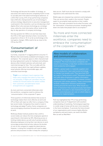Technology will become the enabler of strategy, so executives will need to become completely fluent in how to use data and in the latest technological advances. In a 2014 PwC survey, 81% of top-performing companies had a CEO who championed the use of technology to achieve strategy. Adjustments to executive management could assist in this transition, such as introducing a chief digital officer who oversees technology as a strategic issue, while the chief information officer tends to the day-to-day operation of company technology.

One key question for CEOs is to see how many have the CTO or CIO report directly to them. Currently the proportion is three in 10. In so far as technology is the next game-changer, CEOs need to be as close to the CTO as the CFO.

### 'Consumerisation' of corporate IT

Currently, corporate IT is lagging behind consumer IT. Workers feel restricted by outdated technologies in the workplace. The corporate space is often characterised by long replacement cycles for hardware and software, devices often limited to phones call and email, and restricted storage for files. This is at odds with the consumer space which has rapid software updates, smart phones offering innumerable apps, and unlimited cloud storage.

**Tripit** is an intelligent travel organiser that helps users manage their plans so their trips run smoothly. If flights are cancelled, they are notified 20 minutes before the airline notifies their customers, and alternative travel arrangements are suggested.

As more and more connected millennials enter the workforce, companies need to embrace the 'consumerisation' of the corporate IT space.

Three quarters of millennials believe that access to technology makes them more effective at work and 27% of them will reject an offer from a company if they ban social media. Companies thus need to invest in technology and adapt IT policy. Some companies are now encouraging a business focused use of social media at work.

McKinsey Global Institute predicts that a shift to social media can reduce the time employees spend on searching for information by 35%. Blocking access or limiting mobile device use will only frustrate workers. Allowing employees to bring their own devices to work encourages productivity but also reduces the burden of cost on the company to supply the latest devices. However, in doing this companies will need to adapt policies and processes in order to keep the company's

data secure. Staff must also be trained to comply with regulations and understand the risks.

Mobile apps are empowering customers and employees. They can service their needs in the moment. People expect to accomplish tasks quickly on their mobile devices. This task orientation forces what Forrester calls the 'atomisation' of business processes: breaking them down into tasks that people want to accomplish.<sup>36</sup>

"As more and more connected millennials enter the workforce, companies need to embrace the 'consumerisation' of the corporate IT space."

### New models of collaboration and communication

Technology is changing how we collaborate in the workplace. The most innovative companies will invest in technology to help their workforce become more productive and engaged.

CEMEX, a global leader in materials suppliers and cement production, have used social technology to change how people work. They launched Shift as a way to "bring social to work". Discussion forums and wikis allow employees to gather information and find solutions. Communities of interest connect employees with similar passions. These communities facilitate collaboration between professionals working around the same issue. What results is a form of interaction that would previously have been impossible. Innovation is also fostered through jam sessions and employees can vote on which ideas to prioritise for implementation.

PwC has highlighted that 77% of top-performing companies have an IT department with excellent understanding of marketing. Technological expertise in a wide range of areas will be even more essential in the future workplace. To promote the future brand of our organisations and to ensure highly effective workplaces and work teams, we need to be Math Men as well as Mad Men!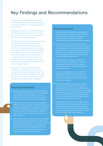### Key Findings and Recommendations

Demographic changes, globalisation and increased connectivity are forcing companies to rethink how we work, when we work and who will work.

Knowledge is power. It is vital to be aware of the trends and to keep up to date with new ones. It will be even more crucial to marry the trends to company strategy.

The future worker will become more remote and specialised. This will demand new management styles, but companies can benefit from the passionate and specialised knowledge worker. Technology will become a disruptive source in some industries, but its benefits will be felt across the board – in enabling deeper connections with the consumer, more novel ways of attracting talent, a more collaborative workplace and a more engaged worker.

The future of work brings with it many challenges, but capitalising on the many changes will bring many opportunities. The following are key recommendations on what you can do to meet the challenges you face and stay or get ahead of the competition:

### Your future brand

- Know exactly what is being said about your brand. Your strongest brand advocates are the employees who work there with you. Make sure they are positively reinforcing the brand, and also that you are continually measuring your brand strength.
- **n** Know your customer intimately. Future brand will depend on the story you tell, on how far you forge an emotional connection with consumers. Companies will need to understand perceptions of true brand and keep on top of changing customer opinions and needs. To do this, use big data analytics and reporting tools.
- Use company values to attract and retain employees and consumers, and pursue internal marketing to generate employee loyalty. This is because corporate social responsibility and business strategy will become increasingly more aligned in the future. Furthermore, it will be important to see how you affect the communities where you work.

### Your future talent

- n Move away from traditional hiring strategies to capture top talent. For example, the Internet will become people's CV and social networks their references. Hiring managers will rely on automated tools, algorithms and people analytics.
- Consider specific assessment for job roles as opposed to just university results. Recruiting based on the traditional university degree will dwindle as more of the world is opened up to online education. Online courses are playing an increasing role in closing the gap between what college students know and what businesses need.
- **n** Measure employee engagement. Are they motivated? Are you meeting their needs and expectations? Remember that on average millennials are more concerned with work/life balance and purpose.
- Tap underused talent pools to overcome the demographic challenges that lie ahead. And remember that women will play a greater role in the future workplace. Make your workplace more female-friendly.
- Empower employees to take action. Change is inevitable. It is vital that your employees are prepared and have the resources to experiment and adapt. Communicate the changes you anticipate and empower staff to roll them out. Whirlpool and Xerox have teams dedicated to investigating how the future of work will affect their organisations, and provide programmes accordingly.
- $\blacksquare$  Assess whether everyone in your organisation is committed to hiring the best, and ensure you have measures in place to see that they are doing so. The war for talent is hotting up. Companies need to ensure that they have the best people in place in order to attract (and retain) top talent.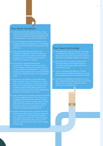### Your future workplace

- $\blacksquare$  Invest in refreshing the expression of your brand and culture in the physical setting. The future office needs to suit millennials while also adapting to the changing patterns of work and how we will work.
- **n** Pay more attention to health and wellness issues. Establish smoke-free campuses, let in natural light, provide work surfaces that accommodate stand-up work, etc.
- $\blacksquare$  Ensuring the health and well-being of your employees is important in itself, but it will also promote innovation and creativity. A well-rested employee is much more likely to come up with ideas than an 'always on' employee.
- Focus more on productivity and less on 'presenteeism'. Managers may not know where certain employees are physically located, but they can still measure their performance – in particular, the *quality* of their performance. Increased flexibility in the future of work will require new management styles.
- Be sensitive and flexible to cultural differences. What constitutes 'good communication' can differ from society to society (e.g. in many Asian cultures, silence is an important part of discussions since it indicates good listening). Being aware of such differences means you can avoid misunderstandings and bring out the talents in your team.
- $\blacksquare$  Keep upskilling your employees and provide settings so they can keep on learning. This will keep them engaged but also provide them with the necessary tools to keep pace with the changes ahead. The key jobs of the future will be built around the people skills that machines cannot replicate such as influencing, engaging empathetically, etc
- $\Box$  Create a workspace that can counteract the social distance that comes with technological change. As your employees are increasingly looking down at their laptop, phone, tablet, etc, it will be important to provide an environment where they can meet, converse, network and share ideas, without relying on technology.

### Your future technology

- Take advantage of new technologies. Technology is reordering what determines economic power, natural resources are declining in their influence, and robots are gradually invading the workplace
- $\blacksquare$  Remember that it is people who decide what technology does. Are you ensuring that your technology works for your talent, rather than the other way round?
- $\blacksquare$  Invest in technology and adapt your IT policy. Three-quarters of millennials believe that access to technology makes them more effective at work.
- $\blacksquare$  Creativity and adaptability are the key to survival. Any competitive advantage now has a much shorter lifespan than in the past. Companies need to experiment more and fail fast.

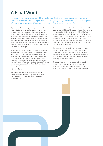### A Final Word

It's clear, that how we work and the workplace itself are changing rapidly. There's a Chinese proverb that says: *If you want 1 year of prosperity, grow grain. If you want 10 years of prosperity, grow trees. If you want 100 years of prosperity, grow people.*

If you want to take one key message away from this report, it's the need for businesses to become more employee-centric. Staff well-being must be a priority at board level: the establishment of a workplace that nurtures mental health and helps workers to achieve balance in their fast-moving, hyper-connected, digital lifestyles; that promotes open and social exchange to ensure effective collaboration, and that welcomes more women employees as well as 'returnees' (older people who work to a later age).

A company that fails to adapt to employees' changing needs risks losing them because of stress and burnout. According to a 2014 Gallup global survey, less than one-third of employees were engaged in their work. This, then, is a major opportunity for a progressive company. Ensuring employee engagement will give you competitive advantage: high employee engagement generates higher revenue per employee, enhances your ability to hire the best people, and fosters retention of talent.

Great workplaces earn twice the financial returns of the general market (Russell Investment Group, Comparative Annualized Stock Market Returns 1997-2012). As top talent becomes increasingly scarce, the performance gap will widen. To stay ahead, you will need to combine marketing and communication skills and tools with traditional relationship-building. By outperforming your competitors in this area, you can actually turn the talent scarcity to your advantage.

Remember: *If you want 100 years of prosperity, grow people* – except that, in our world of rapid change, 100 years is now equivalent to just a decade or two. Be adaptable and creative. Look at what successful businesses are doing. Experiment. Fail fast. Turn the challenges into opportunities.

The benefits of having first-class, fully engaged employees will radiate out into all areas of your business. Fill your workplace with great people, and the future of work will bring you future success.